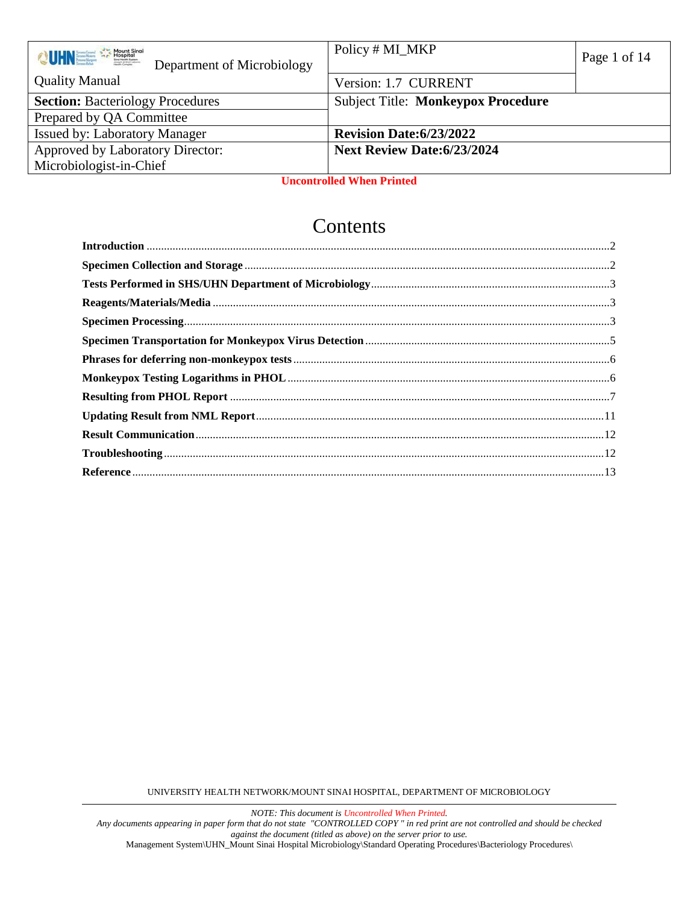| <b>OUINER ASSESSMENT</b><br>Department of Microbiology | Policy # MI_MKP                           | Page 1 of 14 |
|--------------------------------------------------------|-------------------------------------------|--------------|
| <b>Quality Manual</b>                                  | Version: 1.7 CURRENT                      |              |
| <b>Section: Bacteriology Procedures</b>                | <b>Subject Title: Monkeypox Procedure</b> |              |
| Prepared by QA Committee                               |                                           |              |
| <b>Issued by: Laboratory Manager</b>                   | <b>Revision Date:6/23/2022</b>            |              |
| Approved by Laboratory Director:                       | <b>Next Review Date:6/23/2024</b>         |              |
| Microbiologist-in-Chief                                |                                           |              |

**Uncontrolled When Printed**

# **Contents**

UNIVERSITY HEALTH NETWORK/MOUNT SINAI HOSPITAL, DEPARTMENT OF MICROBIOLOGY

*NOTE: This document is Uncontrolled When Printed.* 

*Any documents appearing in paper form that do not state "CONTROLLED COPY " in red print are not controlled and should be checked against the document (titled as above) on the server prior to use.*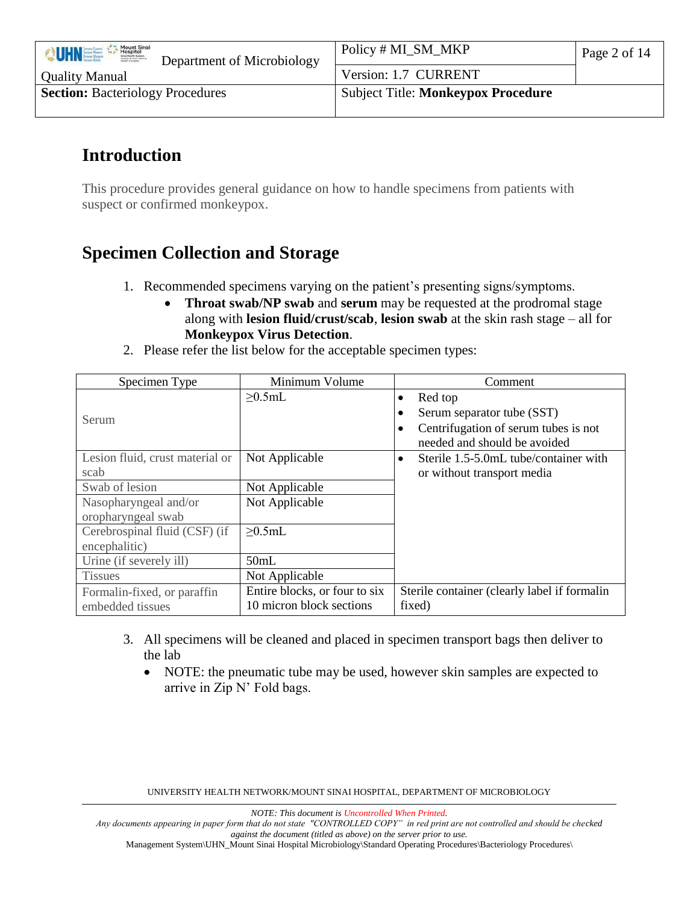| Mount Sinai<br><b>OUHNEL</b><br>Joseph & Wolf Laboro<br>Department of Microbiology | Policy # MI_SM_MKP                        | Page 2 of 14 |
|------------------------------------------------------------------------------------|-------------------------------------------|--------------|
| <b>Quality Manual</b>                                                              | Version: 1.7 CURRENT                      |              |
| <b>Section: Bacteriology Procedures</b>                                            | <b>Subject Title: Monkeypox Procedure</b> |              |
|                                                                                    |                                           |              |

# <span id="page-1-0"></span>**Introduction**

This procedure provides general guidance on how to handle specimens from patients with suspect or confirmed monkeypox.

# <span id="page-1-1"></span>**Specimen Collection and Storage**

- 1. Recommended specimens varying on the patient's presenting signs/symptoms.
	- **Throat swab/NP swab** and **serum** may be requested at the prodromal stage along with **lesion fluid/crust/scab**, **lesion swab** at the skin rash stage – all for **Monkeypox Virus Detection**.
- 2. Please refer the list below for the acceptable specimen types:

| Specimen Type                           | Minimum Volume                | Comment                                                                                                            |
|-----------------------------------------|-------------------------------|--------------------------------------------------------------------------------------------------------------------|
| Serum                                   | $\geq 0.5$ mL                 | Red top<br>٠<br>Serum separator tube (SST)<br>Centrifugation of serum tubes is not<br>needed and should be avoided |
| Lesion fluid, crust material or<br>scab | Not Applicable                | Sterile 1.5-5.0mL tube/container with<br>$\bullet$<br>or without transport media                                   |
| Swab of lesion                          | Not Applicable                |                                                                                                                    |
| Nasopharyngeal and/or                   | Not Applicable                |                                                                                                                    |
| oropharyngeal swab                      |                               |                                                                                                                    |
| Cerebrospinal fluid (CSF) (if           | $\geq 0.5$ mL                 |                                                                                                                    |
| encephalitic)                           |                               |                                                                                                                    |
| Urine (if severely ill)                 | 50mL                          |                                                                                                                    |
| <b>Tissues</b>                          | Not Applicable                |                                                                                                                    |
| Formalin-fixed, or paraffin             | Entire blocks, or four to six | Sterile container (clearly label if formalin                                                                       |
| embedded tissues                        | 10 micron block sections      | fixed)                                                                                                             |

- 3. All specimens will be cleaned and placed in specimen transport bags then deliver to the lab
	- NOTE: the pneumatic tube may be used, however skin samples are expected to arrive in Zip N' Fold bags.

UNIVERSITY HEALTH NETWORK/MOUNT SINAI HOSPITAL, DEPARTMENT OF MICROBIOLOGY

*NOTE: This document is Uncontrolled When Printed.* 

*Any documents appearing in paper form that do not state "CONTROLLED COPY" in red print are not controlled and should be checked against the document (titled as above) on the server prior to use.*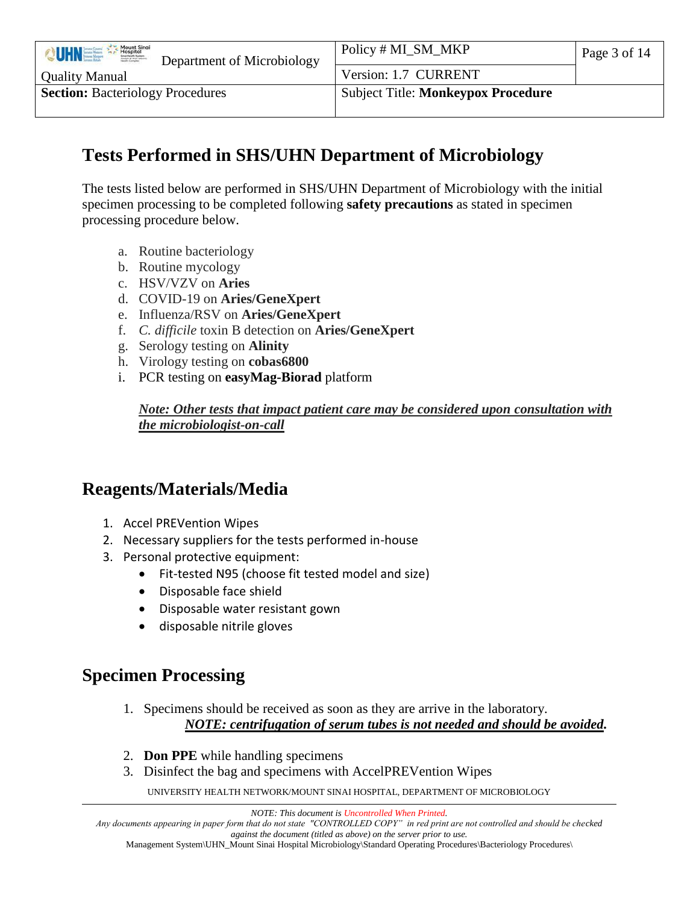| Mount Sinai<br>VUHNEE<br>Joseph & Wolf Labovic<br>Department of Microbiology | Policy # MI_SM_MKP                        | Page 3 of 14 |
|------------------------------------------------------------------------------|-------------------------------------------|--------------|
| <b>Quality Manual</b>                                                        | Version: 1.7 CURRENT                      |              |
| <b>Section: Bacteriology Procedures</b>                                      | <b>Subject Title: Monkeypox Procedure</b> |              |
|                                                                              |                                           |              |

# <span id="page-2-0"></span>**Tests Performed in SHS/UHN Department of Microbiology**

The tests listed below are performed in SHS/UHN Department of Microbiology with the initial specimen processing to be completed following **safety precautions** as stated in specimen processing procedure below.

- a. Routine bacteriology
- b. Routine mycology
- c. HSV/VZV on **Aries**
- d. COVID-19 on **Aries/GeneXpert**
- e. Influenza/RSV on **Aries/GeneXpert**
- f. *C. difficile* toxin B detection on **Aries/GeneXpert**
- g. Serology testing on **Alinity**
- h. Virology testing on **cobas6800**
- i. PCR testing on **easyMag-Biorad** platform

*Note: Other tests that impact patient care may be considered upon consultation with the microbiologist-on-call*

# <span id="page-2-1"></span>**Reagents/Materials/Media**

- 1. Accel PREVention Wipes
- 2. Necessary suppliers for the tests performed in-house
- 3. Personal protective equipment:
	- Fit-tested N95 (choose fit tested model and size)
	- Disposable face shield
	- Disposable water resistant gown
	- disposable nitrile gloves

# <span id="page-2-2"></span>**Specimen Processing**

- 1. Specimens should be received as soon as they are arrive in the laboratory. *NOTE: centrifugation of serum tubes is not needed and should be avoided.*
- 2. **Don PPE** while handling specimens
- 3. Disinfect the bag and specimens with AccelPREVention Wipes

UNIVERSITY HEALTH NETWORK/MOUNT SINAI HOSPITAL, DEPARTMENT OF MICROBIOLOGY

*Any documents appearing in paper form that do not state "CONTROLLED COPY" in red print are not controlled and should be checked against the document (titled as above) on the server prior to use.*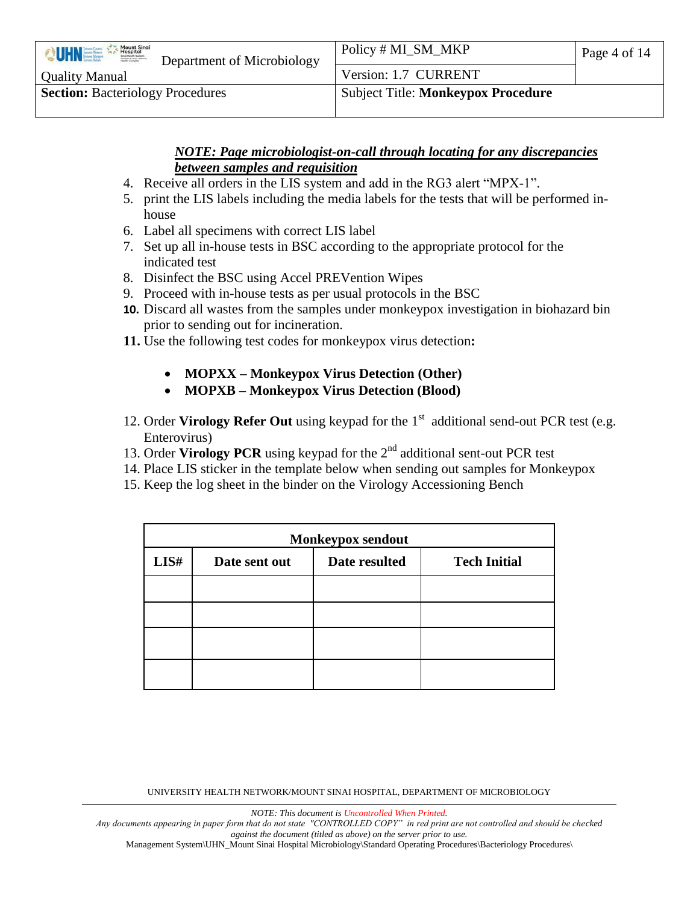| Mount Sinai<br><b>UHNEE</b><br>Department of Microbiology | Policy # MI_SM_MKP                        | Page 4 of 14 |
|-----------------------------------------------------------|-------------------------------------------|--------------|
| <b>Quality Manual</b>                                     | Version: 1.7 CURRENT                      |              |
| <b>Section: Bacteriology Procedures</b>                   | <b>Subject Title: Monkeypox Procedure</b> |              |
|                                                           |                                           |              |

#### *NOTE: Page microbiologist-on-call through locating for any discrepancies between samples and requisition*

- 4. Receive all orders in the LIS system and add in the RG3 alert "MPX-1".
- 5. print the LIS labels including the media labels for the tests that will be performed inhouse
- 6. Label all specimens with correct LIS label
- 7. Set up all in-house tests in BSC according to the appropriate protocol for the indicated test
- 8. Disinfect the BSC using Accel PREVention Wipes
- 9. Proceed with in-house tests as per usual protocols in the BSC
- **10.** Discard all wastes from the samples under monkeypox investigation in biohazard bin prior to sending out for incineration.
- **11.** Use the following test codes for monkeypox virus detection**:**
	- **MOPXX – Monkeypox Virus Detection (Other)**
	- **MOPXB – Monkeypox Virus Detection (Blood)**
- 12. Order Virology Refer Out using keypad for the 1<sup>st</sup> additional send-out PCR test (e.g. Enterovirus)
- 13. Order **Virology PCR** using keypad for the 2nd additional sent-out PCR test
- 14. Place LIS sticker in the template below when sending out samples for Monkeypox
- 15. Keep the log sheet in the binder on the Virology Accessioning Bench

| Monkeypox sendout |               |               |                     |
|-------------------|---------------|---------------|---------------------|
| LI <sub>5#</sub>  | Date sent out | Date resulted | <b>Tech Initial</b> |
|                   |               |               |                     |
|                   |               |               |                     |
|                   |               |               |                     |
|                   |               |               |                     |

UNIVERSITY HEALTH NETWORK/MOUNT SINAI HOSPITAL, DEPARTMENT OF MICROBIOLOGY

*NOTE: This document is Uncontrolled When Printed.* 

*Any documents appearing in paper form that do not state "CONTROLLED COPY" in red print are not controlled and should be checked against the document (titled as above) on the server prior to use.*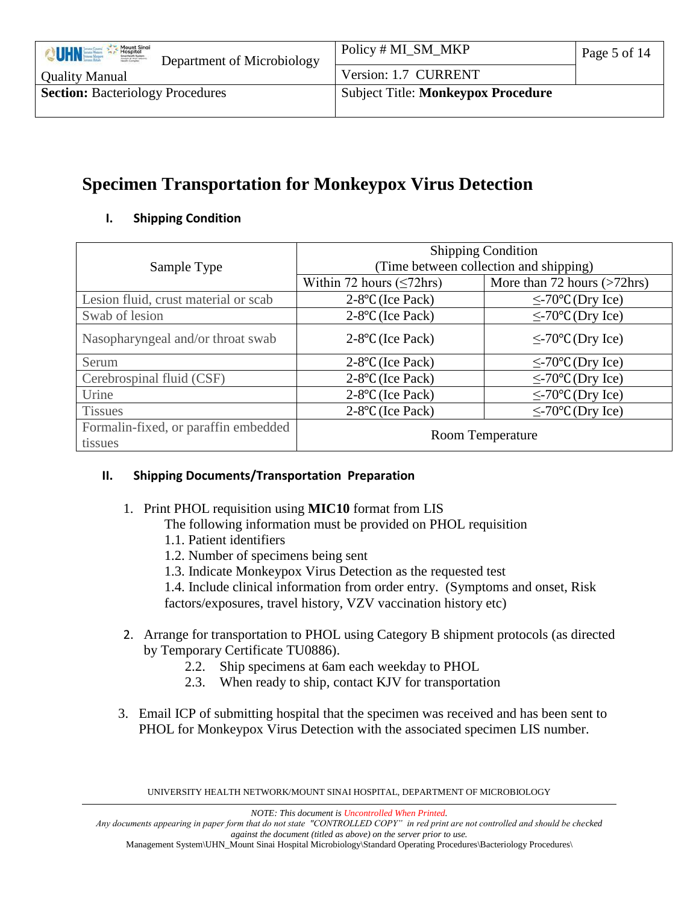| <b>Mount Singi</b><br>UHNE<br>Hospital<br>Department of Microbiology | Policy # MI_SM_MKP                        | Page 5 of 14 |
|----------------------------------------------------------------------|-------------------------------------------|--------------|
| <b>Quality Manual</b>                                                | Version: 1.7 CURRENT                      |              |
| <b>Section: Bacteriology Procedures</b>                              | <b>Subject Title: Monkeypox Procedure</b> |              |
|                                                                      |                                           |              |

# <span id="page-4-0"></span>**Specimen Transportation for Monkeypox Virus Detection**

#### **I. Shipping Condition**

|                                      | <b>Shipping Condition</b>              |                             |  |
|--------------------------------------|----------------------------------------|-----------------------------|--|
| Sample Type                          | (Time between collection and shipping) |                             |  |
|                                      | Within 72 hours $(\leq 72$ hrs)        | More than 72 hours (>72hrs) |  |
| Lesion fluid, crust material or scab | $2-8$ °C (Ice Pack)                    | $\leq$ -70°C (Dry Ice)      |  |
| Swab of lesion                       | $2-8$ °C (Ice Pack)                    | $\leq$ -70°C (Dry Ice)      |  |
| Nasopharyngeal and/or throat swab    | $2-8$ °C (Ice Pack)                    | $\leq$ -70°C (Dry Ice)      |  |
| Serum                                | $2-8$ °C (Ice Pack)                    | $\leq$ -70°C (Dry Ice)      |  |
| Cerebrospinal fluid (CSF)            | $2-8$ °C (Ice Pack)                    | $\leq$ -70°C (Dry Ice)      |  |
| Urine                                | 2-8°C (Ice Pack)                       | $≤$ -70 $°C$ (Dry Ice)      |  |
| <b>Tissues</b>                       | $2-8$ °C (Ice Pack)                    | $\leq$ -70°C (Dry Ice)      |  |
| Formalin-fixed, or paraffin embedded | <b>Room Temperature</b>                |                             |  |
| tissues                              |                                        |                             |  |

#### **II. Shipping Documents/Transportation Preparation**

- 1. Print PHOL requisition using **MIC10** format from LIS
	- The following information must be provided on PHOL requisition
	- 1.1. Patient identifiers
	- 1.2. Number of specimens being sent
	- 1.3. Indicate Monkeypox Virus Detection as the requested test
	- 1.4. Include clinical information from order entry. (Symptoms and onset, Risk

factors/exposures, travel history, VZV vaccination history etc)

- 2. Arrange for transportation to PHOL using Category B shipment protocols (as directed by Temporary Certificate TU0886).
	- 2.2. Ship specimens at 6am each weekday to PHOL
	- 2.3. When ready to ship, contact KJV for transportation
- 3. Email ICP of submitting hospital that the specimen was received and has been sent to PHOL for Monkeypox Virus Detection with the associated specimen LIS number.

UNIVERSITY HEALTH NETWORK/MOUNT SINAI HOSPITAL, DEPARTMENT OF MICROBIOLOGY

*NOTE: This document is Uncontrolled When Printed.* 

*Any documents appearing in paper form that do not state "CONTROLLED COPY" in red print are not controlled and should be checked against the document (titled as above) on the server prior to use.*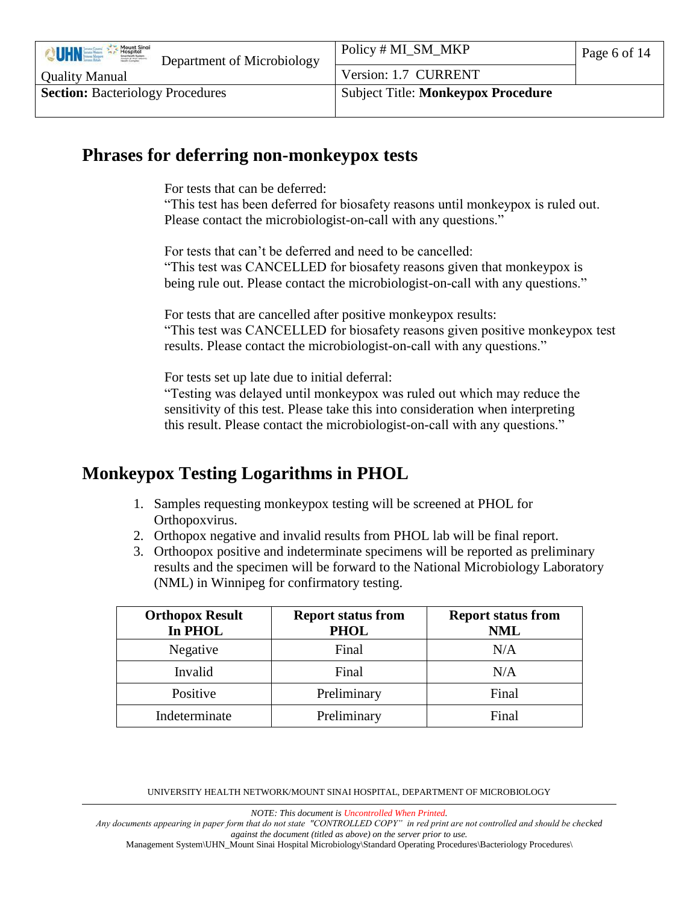| Mount Sinai<br>VUHNEL<br>Joseph & Wolf Labovic<br>Department of Microbiology | Policy # MI_SM_MKP                        | Page 6 of 14 |
|------------------------------------------------------------------------------|-------------------------------------------|--------------|
| <b>Quality Manual</b>                                                        | Version: 1.7 CURRENT                      |              |
| <b>Section: Bacteriology Procedures</b>                                      | <b>Subject Title: Monkeypox Procedure</b> |              |
|                                                                              |                                           |              |

### <span id="page-5-0"></span>**Phrases for deferring non-monkeypox tests**

For tests that can be deferred:

"This test has been deferred for biosafety reasons until monkeypox is ruled out. Please contact the microbiologist-on-call with any questions."

For tests that can't be deferred and need to be cancelled: "This test was CANCELLED for biosafety reasons given that monkeypox is being rule out. Please contact the microbiologist-on-call with any questions."

For tests that are cancelled after positive monkeypox results: "This test was CANCELLED for biosafety reasons given positive monkeypox test results. Please contact the microbiologist-on-call with any questions."

For tests set up late due to initial deferral:

"Testing was delayed until monkeypox was ruled out which may reduce the sensitivity of this test. Please take this into consideration when interpreting this result. Please contact the microbiologist-on-call with any questions."

# <span id="page-5-1"></span>**Monkeypox Testing Logarithms in PHOL**

- 1. Samples requesting monkeypox testing will be screened at PHOL for Orthopoxvirus.
- 2. Orthopox negative and invalid results from PHOL lab will be final report.
- 3. Orthoopox positive and indeterminate specimens will be reported as preliminary results and the specimen will be forward to the National Microbiology Laboratory (NML) in Winnipeg for confirmatory testing.

| <b>Orthopox Result</b><br>In PHOL | <b>Report status from</b><br><b>PHOL</b> | <b>Report status from</b><br><b>NML</b> |
|-----------------------------------|------------------------------------------|-----------------------------------------|
| Negative                          | Final                                    | N/A                                     |
| Invalid                           | Final                                    | N/A                                     |
| Positive                          | Preliminary                              | Final                                   |
| Indeterminate                     | Preliminary                              | Final                                   |

<span id="page-5-2"></span>UNIVERSITY HEALTH NETWORK/MOUNT SINAI HOSPITAL, DEPARTMENT OF MICROBIOLOGY

*NOTE: This document is Uncontrolled When Printed.* 

*Any documents appearing in paper form that do not state "CONTROLLED COPY" in red print are not controlled and should be checked against the document (titled as above) on the server prior to use.*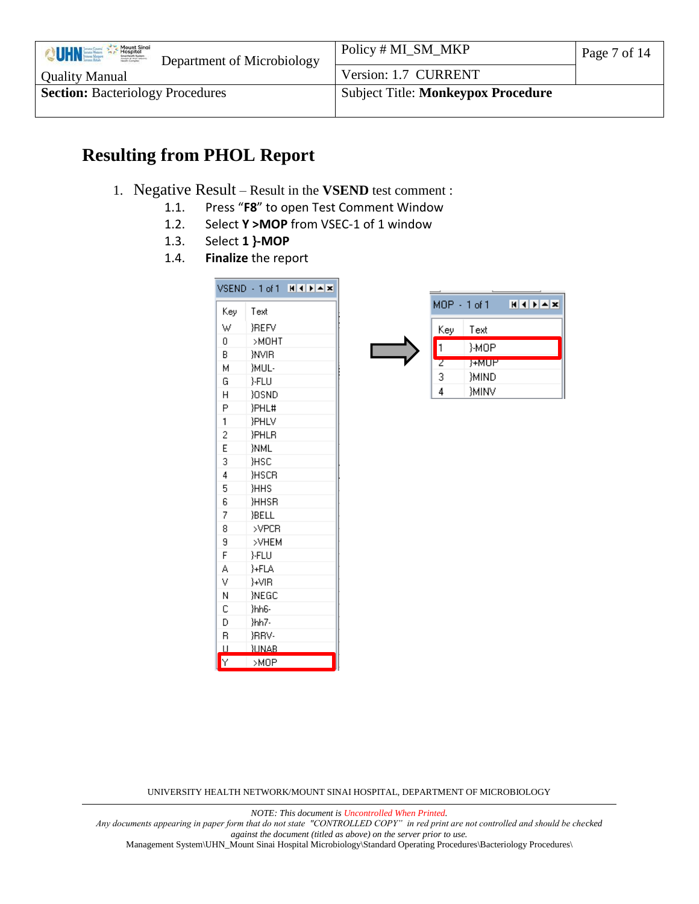| Mount Sinai<br>VUHNEL<br>Department of Microbiology | Policy # MI_SM_MKP                        | Page 7 of 14 |
|-----------------------------------------------------|-------------------------------------------|--------------|
| <b>Quality Manual</b>                               | Version: 1.7 CURRENT                      |              |
| <b>Section: Bacteriology Procedures</b>             | <b>Subject Title: Monkeypox Procedure</b> |              |
|                                                     |                                           |              |

# **Resulting from PHOL Report**

- 1. Negative Result Result in the **VSEND** test comment :
	- 1.1. Press "**F8**" to open Test Comment Window
	- 1.2. Select **Y >MOP** from VSEC-1 of 1 window
	- 1.3. Select **1 }-MOP**
	- 1.4. **Finalize** the report

|     | $VSEND - 1 of 1 H11H12$ |
|-----|-------------------------|
| Keγ | Text                    |
| W   | <b>REFV</b>             |
| Ū.  | >MOHT                   |
| B.  | WVIR.                   |
| М   | }MUL-                   |
| G   | }-FLU                   |
| H   | <b>YOSND</b>            |
| P   | }PHL#                   |
| 1   | }PHLV                   |
| 2   | }PHLR                   |
| E   | <b>NML</b>              |
| 3   | `НSС                    |
| 4   | HSCR                    |
| 5   | `ННS                    |
| 6   | <b>HHSR</b>             |
| 7   | }BELL                   |
| 8   | >VPCR                   |
| 9   | >VHEM                   |
| F   | }-FLU                   |
| A   | }+FLA                   |
| ٧   | }+VIR                   |
| Ν   | <b>INEGC</b>            |
| C   | }hh6-                   |
| D   | }hh7-                   |
| R   | <b>JRRV-</b>            |
| П   | <b>JUNAB</b>            |
| Y   | >MOP                    |



UNIVERSITY HEALTH NETWORK/MOUNT SINAI HOSPITAL, DEPARTMENT OF MICROBIOLOGY

*NOTE: This document is Uncontrolled When Printed.* 

*Any documents appearing in paper form that do not state "CONTROLLED COPY" in red print are not controlled and should be checked against the document (titled as above) on the server prior to use.*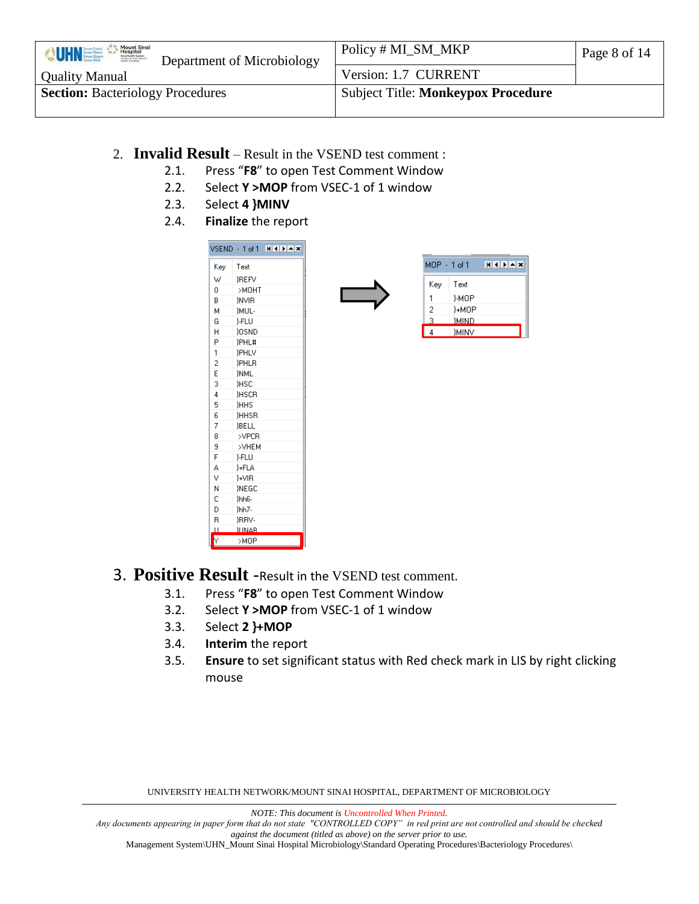| Mount Sinai<br>VUHNEE<br>Department of Microbiology | Policy # MI_SM_MKP                        | Page 8 of 14 |
|-----------------------------------------------------|-------------------------------------------|--------------|
| <b>Quality Manual</b>                               | Version: 1.7 CURRENT                      |              |
| <b>Section: Bacteriology Procedures</b>             | <b>Subject Title: Monkeypox Procedure</b> |              |
|                                                     |                                           |              |

- 2. **Invalid Result** Result in the VSEND test comment :
	- 2.1. Press "**F8**" to open Test Comment Window
	- 2.2. Select **Y >MOP** from VSEC-1 of 1 window
	- 2.3. Select **4 }MINV**
	- 2.4. **Finalize** the report



- 3. **Positive Result** -Result in the VSEND test comment.
	- 3.1. Press "**F8**" to open Test Comment Window
	- 3.2. Select **Y >MOP** from VSEC-1 of 1 window
	- 3.3. Select **2 }+MOP**
	- 3.4. **Interim** the report
	- 3.5. **Ensure** to set significant status with Red check mark in LIS by right clicking mouse

UNIVERSITY HEALTH NETWORK/MOUNT SINAI HOSPITAL, DEPARTMENT OF MICROBIOLOGY

*NOTE: This document is Uncontrolled When Printed.* 

*Any documents appearing in paper form that do not state "CONTROLLED COPY" in red print are not controlled and should be checked against the document (titled as above) on the server prior to use.*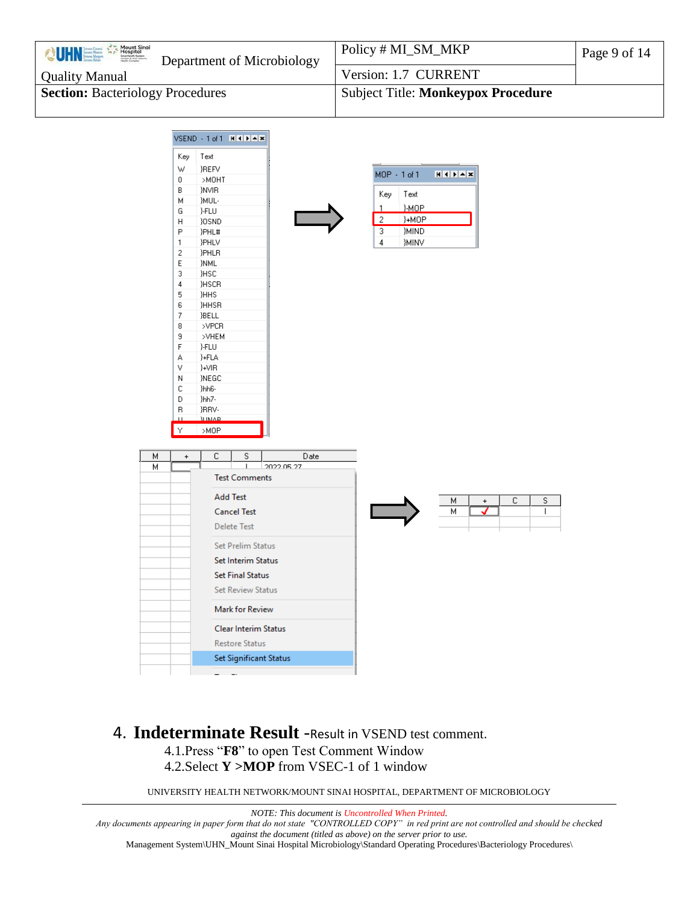| Policy # MI_SM_MKP                        | Page 9 of 14 |
|-------------------------------------------|--------------|
| Version: 1.7 CURRENT                      |              |
| <b>Subject Title: Monkeypox Procedure</b> |              |
|                                           |              |



### 4. **Indeterminate Result** -Result in VSEND test comment. 4.1.Press "**F8**" to open Test Comment Window

4.2.Select **Y >MOP** from VSEC-1 of 1 window

UNIVERSITY HEALTH NETWORK/MOUNT SINAI HOSPITAL, DEPARTMENT OF MICROBIOLOGY

*NOTE: This document is Uncontrolled When Printed. Any documents appearing in paper form that do not state "CONTROLLED COPY" in red print are not controlled and should be checked against the document (titled as above) on the server prior to use.* Management System\UHN\_Mount Sinai Hospital Microbiology\Standard Operating Procedures\Bacteriology Procedures\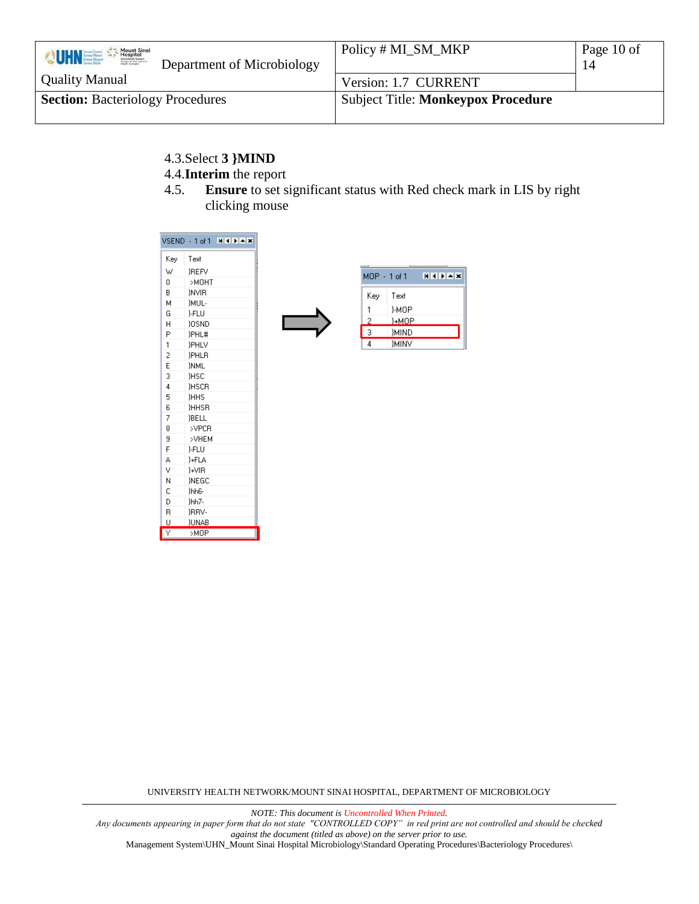| Mount Sinai<br><b>VUHNEE</b><br>Department of Microbiology | Policy # MI_SM_MKP                        | Page 10 of<br>14 |
|------------------------------------------------------------|-------------------------------------------|------------------|
| <b>Quality Manual</b>                                      | Version: 1.7 CURRENT                      |                  |
| <b>Section: Bacteriology Procedures</b>                    | <b>Subject Title: Monkeypox Procedure</b> |                  |

- 4.3.Select **3 }MIND**
- 4.4.**Interim** the report
- 4.5. **Ensure** to set significant status with Red check mark in LIS by right clicking mouse

|     | $VSEND + 1 of 1$ | NIKIPIWE |
|-----|------------------|----------|
| Kev | Text             |          |
| W   | <b>IREFV</b>     |          |
| 0   | >МОНТ            |          |
| B.  | <b>NVIB</b>      |          |
| М   | }MUL-            |          |
| G   | }-FLU            |          |
| H   | <b>YOSND</b>     |          |
| P   | <b>}PHL#</b>     |          |
| 1   | <b>PHLV</b>      |          |
| 2   | }PHLR            |          |
| E   | <b>INML</b>      |          |
| 3   | <b>HSC</b>       |          |
| 4   | <b>HSCR</b>      |          |
| 5   | <b>HHS</b>       |          |
| 6   | <b>HHSR</b>      |          |
| 7   | <b>BELL</b>      |          |
| 8   | >VPCR            |          |
| 9   | >VHEM            |          |
| F   | }-FLU            |          |
| A   | }+FLA            |          |
| V   | }+VIB            |          |
| N   | <b>INEGC</b>     |          |
| C   | }hh6-            |          |
| D   | }hh7-            |          |
| R   | <b>IRRV-</b>     |          |
| U   | <b>JUNAB</b>     |          |
| Ÿ   | >MOP             |          |

| $MDP - 1 of 1$ |             | $H$ 4 $H$ $\rightarrow$ $X$ |
|----------------|-------------|-----------------------------|
| Key            | Text        |                             |
|                | }-MOP       |                             |
| 2              | }+MOP       |                             |
| 3              | }MIND       |                             |
|                | <b>MINV</b> |                             |

UNIVERSITY HEALTH NETWORK/MOUNT SINAI HOSPITAL, DEPARTMENT OF MICROBIOLOGY

*NOTE: This document is Uncontrolled When Printed.* 

*Any documents appearing in paper form that do not state "CONTROLLED COPY" in red print are not controlled and should be checked against the document (titled as above) on the server prior to use.*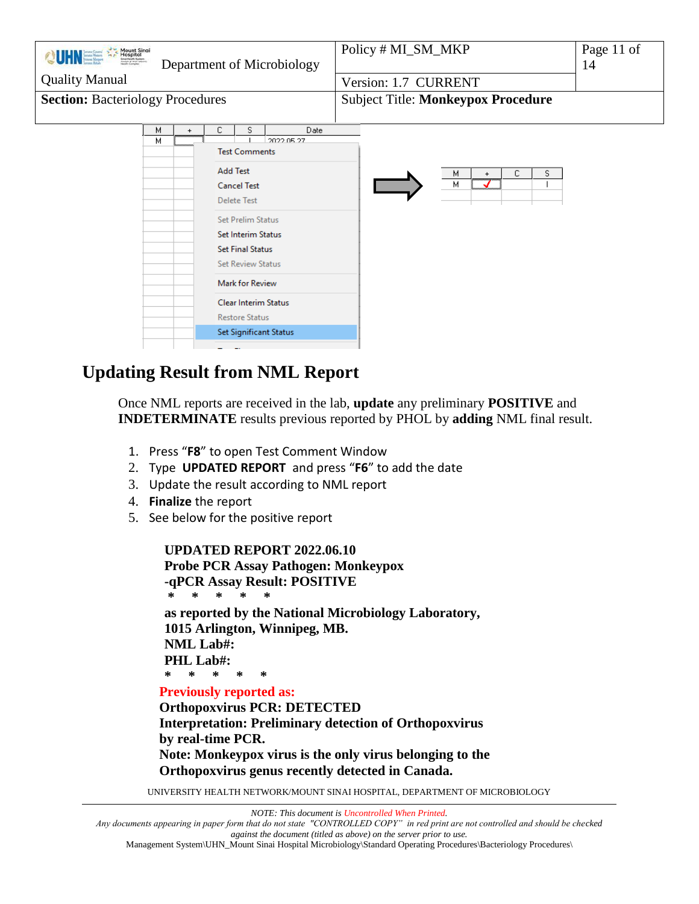| <b>QUHNEED A Mount Single</b><br><b>Quality Manual</b><br><b>Section: Bacteriology Procedures</b> | Department of Microbiology |           |                      |                                                                                                                                                                                                                                                                  |                                                            | Policy # ML_SM_MKP<br>Page 11 of<br>14<br>Version: 1.7 CURRENT<br><b>Subject Title: Monkeypox Procedure</b> |
|---------------------------------------------------------------------------------------------------|----------------------------|-----------|----------------------|------------------------------------------------------------------------------------------------------------------------------------------------------------------------------------------------------------------------------------------------------------------|------------------------------------------------------------|-------------------------------------------------------------------------------------------------------------|
|                                                                                                   | м<br>м                     | $\ddot{}$ | с<br><b>Add Test</b> | s<br><b>Test Comments</b><br><b>Cancel Test</b><br><b>Delete Test</b><br><b>Set Prelim Status</b><br><b>Set Interim Status</b><br><b>Set Final Status</b><br><b>Set Review Status</b><br>Mark for Review<br><b>Clear Interim Status</b><br><b>Restore Status</b> | <b>Date</b><br>2022.05.27<br><b>Set Significant Status</b> | c.<br>м<br>s<br>$\ddot{}$<br>м                                                                              |

# <span id="page-10-0"></span>**Updating Result from NML Report**

Once NML reports are received in the lab, **update** any preliminary **POSITIVE** and **INDETERMINATE** results previous reported by PHOL by **adding** NML final result.

- 1. Press "**F8**" to open Test Comment Window
- 2. Type **UPDATED REPORT** and press "**F6**" to add the date
- 3. Update the result according to NML report
- 4. **Finalize** the report
- 5. See below for the positive report

**UPDATED REPORT 2022.06.10 Probe PCR Assay Pathogen: Monkeypox -qPCR Assay Result: POSITIVE \* \* \* \* \* as reported by the National Microbiology Laboratory, 1015 Arlington, Winnipeg, MB. NML Lab#: PHL Lab#: \* \* \* \* \* Previously reported as:**

**Orthopoxvirus PCR: DETECTED Interpretation: Preliminary detection of Orthopoxvirus by real-time PCR. Note: Monkeypox virus is the only virus belonging to the Orthopoxvirus genus recently detected in Canada.** 

UNIVERSITY HEALTH NETWORK/MOUNT SINAI HOSPITAL, DEPARTMENT OF MICROBIOLOGY

*NOTE: This document is Uncontrolled When Printed.* 

*Any documents appearing in paper form that do not state "CONTROLLED COPY" in red print are not controlled and should be checked against the document (titled as above) on the server prior to use.*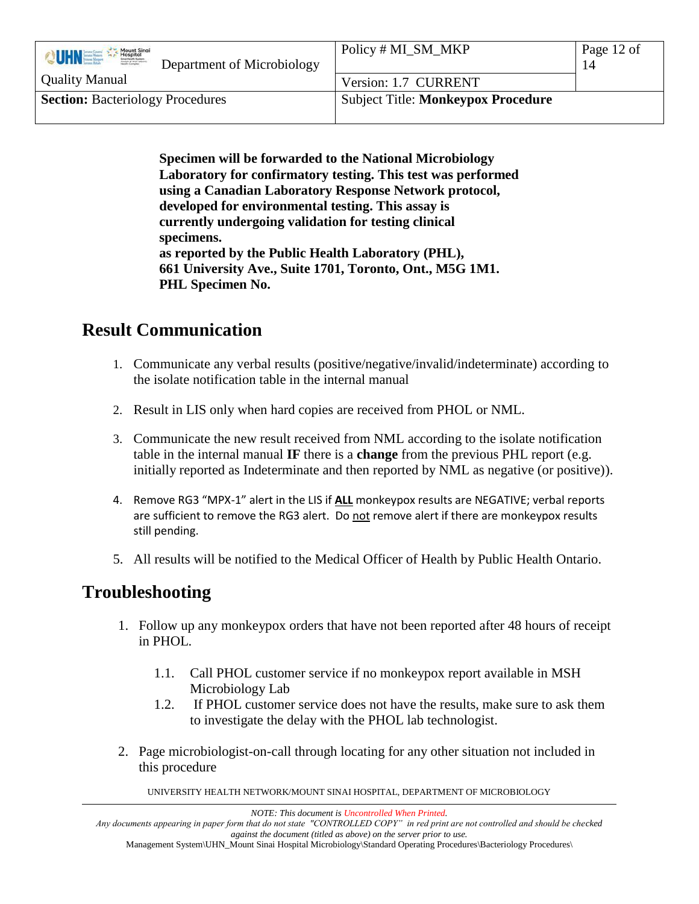| Mount Sinai<br>VUHNEE<br>Joseph & Wolf Labored<br>Department of Microbiology | Policy # MI_SM_MKP                        | Page 12 of<br>14 |
|------------------------------------------------------------------------------|-------------------------------------------|------------------|
| <b>Quality Manual</b>                                                        | Version: 1.7 CURRENT                      |                  |
| <b>Section: Bacteriology Procedures</b>                                      | <b>Subject Title: Monkeypox Procedure</b> |                  |

**Specimen will be forwarded to the National Microbiology Laboratory for confirmatory testing. This test was performed using a Canadian Laboratory Response Network protocol, developed for environmental testing. This assay is currently undergoing validation for testing clinical specimens. as reported by the Public Health Laboratory (PHL), 661 University Ave., Suite 1701, Toronto, Ont., M5G 1M1. PHL Specimen No.**

### <span id="page-11-0"></span>**Result Communication**

- 1. Communicate any verbal results (positive/negative/invalid/indeterminate) according to the isolate notification table in the internal manual
- 2. Result in LIS only when hard copies are received from PHOL or NML.
- 3. Communicate the new result received from NML according to the isolate notification table in the internal manual **IF** there is a **change** from the previous PHL report (e.g. initially reported as Indeterminate and then reported by NML as negative (or positive)).
- 4. Remove RG3 "MPX-1" alert in the LIS if **ALL** monkeypox results are NEGATIVE; verbal reports are sufficient to remove the RG3 alert. Do not remove alert if there are monkeypox results still pending.
- 5. All results will be notified to the Medical Officer of Health by Public Health Ontario.

# <span id="page-11-1"></span>**Troubleshooting**

- 1. Follow up any monkeypox orders that have not been reported after 48 hours of receipt in PHOL.
	- 1.1. Call PHOL customer service if no monkeypox report available in MSH Microbiology Lab
	- 1.2. If PHOL customer service does not have the results, make sure to ask them to investigate the delay with the PHOL lab technologist.
- 2. Page microbiologist-on-call through locating for any other situation not included in this procedure

UNIVERSITY HEALTH NETWORK/MOUNT SINAI HOSPITAL, DEPARTMENT OF MICROBIOLOGY

*NOTE: This document is Uncontrolled When Printed.* 

*Any documents appearing in paper form that do not state "CONTROLLED COPY" in red print are not controlled and should be checked against the document (titled as above) on the server prior to use.*

Management System\UHN\_Mount Sinai Hospital Microbiology\Standard Operating Procedures\Bacteriology Procedures\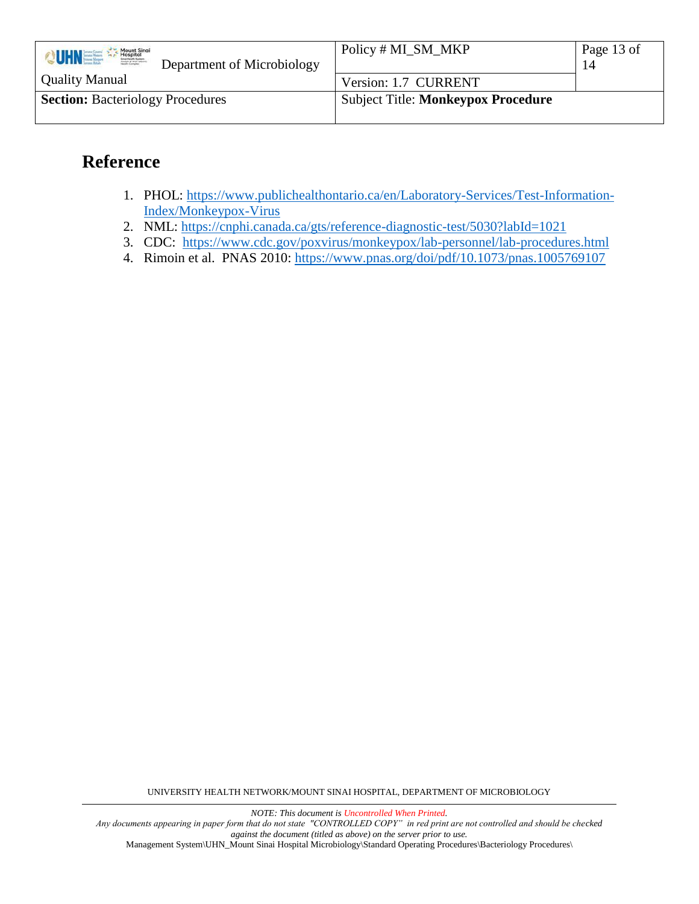| Mount Sinai<br><b>VUHNES</b><br>Joseph & Wolf Laborer<br>Department of Microbiology | Policy # MI_SM_MKP                        | Page 13 of<br>14 |
|-------------------------------------------------------------------------------------|-------------------------------------------|------------------|
| <b>Quality Manual</b>                                                               | Version: 1.7 CURRENT                      |                  |
| <b>Section: Bacteriology Procedures</b>                                             | <b>Subject Title: Monkeypox Procedure</b> |                  |

# <span id="page-12-0"></span>**Reference**

- 1. PHOL: [https://www.publichealthontario.ca/en/Laboratory-Services/Test-Information-](https://www.publichealthontario.ca/en/Laboratory-Services/Test-Information-Index/Monkeypox-Virus)[Index/Monkeypox-Virus](https://www.publichealthontario.ca/en/Laboratory-Services/Test-Information-Index/Monkeypox-Virus)
- 2. NML:<https://cnphi.canada.ca/gts/reference-diagnostic-test/5030?labId=1021>
- 3. CDC: <https://www.cdc.gov/poxvirus/monkeypox/lab-personnel/lab-procedures.html>
- 4. Rimoin et al. PNAS 2010:<https://www.pnas.org/doi/pdf/10.1073/pnas.1005769107>

UNIVERSITY HEALTH NETWORK/MOUNT SINAI HOSPITAL, DEPARTMENT OF MICROBIOLOGY

*NOTE: This document is Uncontrolled When Printed.* 

*Any documents appearing in paper form that do not state "CONTROLLED COPY" in red print are not controlled and should be checked against the document (titled as above) on the server prior to use.*